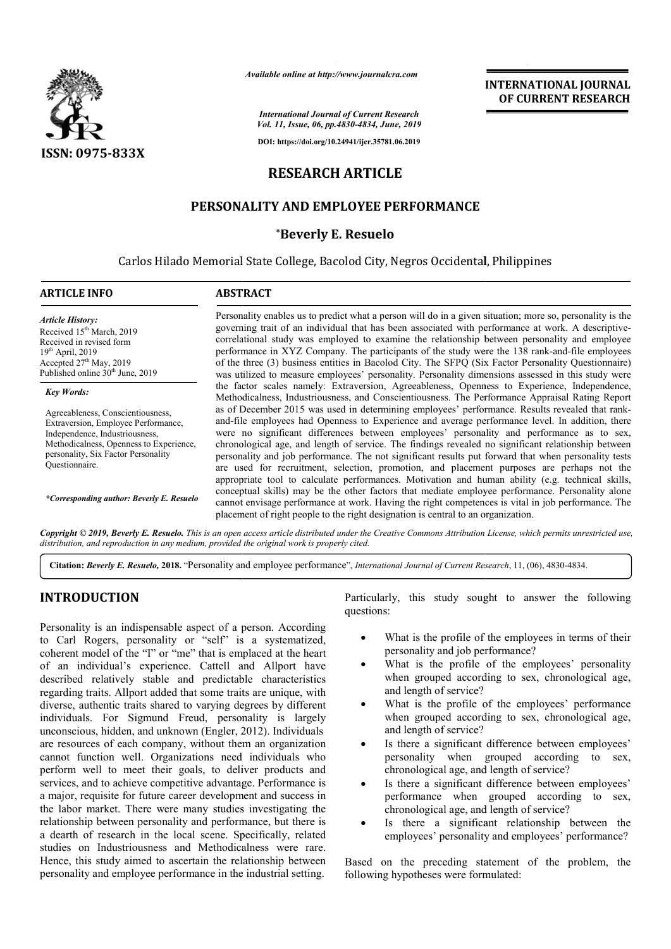

*Available online at http://www.journalcra.com*

*International Journal of Current Research Vol. 11, Issue, 06, pp.4830-4834, June, 2019*

**DOI: https://doi.org/10.24941/ijcr.35781.06.2019**

# **RESEARCH ARTICLE**

## **PERSONALITY AND EMPLOYEE PERFORMANCE**

### **\*Beverly E. Resuelo**

Carlos Hilado Memorial State College, Bacolod City, Negros Occidental, Philippines

#### **ARTICLE INFO ABSTRACT**

*Article History: Article History:* Received 15<sup>th</sup> March, 2019 Received in revised form Received in revised form  $19<sup>th</sup>$  April, 2019 Accepted 27<sup>th</sup> May, 2019 Published online  $30<sup>th</sup>$  June, 2019

#### *Key Words:*

Agreeableness, Conscientiousness, Extraversion, Employee Performance, Independence, Industriousness, Methodicalness, Openness to Experience, personality, Six Factor Personality Questionnaire.

*\*Corresponding author: Beverly E. Resuelo*

Personality enables us to predict what a person will do in a given situation; more so, personality is the Personality enables us to predict what a person will do in a given situation; more so, personality is the governing trait of an individual that has been associated with performance at work. A descriptivecorrelational study was employed to examine the relationship between personality and employee correlational study was employed to examine the relationship between personality and employee performance in XYZ Company. The participants of the study were the 138 rank-and-file employees of the three (3) business entities in Bacolod City. The SFPQ (Six Factor Personality Questionnaire) was utilized to measure employees' personality. Personality dimensions assessed in this study were the factor scales namely: Extraversion, Agreeableness, Openness to Experience, Independence, of the three (3) business entities in Bacolod City. The SFPQ (Six Factor Personality Questionnaire) was utilized to measure employees' personality. Personality dimensions assessed in this study were the factor scales namel as of December 2015 was used in determining employees' performance. Results revealed that rankand-file employees had Openness to Experience and average performance level. In addition, there and-file employees had Openness to Experience and average performance level. In addition, there were no significant differences between employees' personality and performance as to sex, chronological age, and length of service. The findings revealed no significant relationship between personality and job performance. The not significant results put forward that when personality tes are used for recruitment, selection, promotion, and placement purposes are perhaps not the appropriate tool to calculate performances. Motivation and human ability (e.g. technical skills, conceptual skills) may be the other factors that mediate employee cannot envisage performance at work. Having the right competences is vital in job performance. The placement of right people to the right designation is central to an organization. and-file employees had Openness to Experience and average performance level. In addition, there were no significant differences between employees' personality and performance as to sex, chronological age, and length of ser are used for recruitment, selection, promotion, and placement purposes are perhaps not the appropriate tool to calculate performances. Motivation and human ability (e.g. technical skills, conceptual skills) may be the othe **INTERNATIONAL JOURNAL**<br> **COVERENT RESEARCH**<br> **COVERENT RESEARCH**<br> **COVERENT RESEARCH**<br> **COVERENT RESEARCH**<br> **COVERENT RESEARCH**<br> **COVERENT RESEARCH**<br> **COVERENT RESEARCH**<br> **COVERENT ASSES**<br> **COVERENT ASSES**<br> **COVERENT ASS** 

Copyright © 2019, Beverly E. Resuelo. This is an open access article distributed under the Creative Commons Attribution License, which permits unrestricted use, *distribution, and reproduction in any medium, provided the original work is properly cited.*

Citation: Beverly E. Resuelo, 2018. "Personality and employee performance", *International Journal of Current Research*, 11, (06), 4830-4834.

## **INTRODUCTION**

Personality is an indispensable aspect of a person. According to Carl Rogers, personality or "self" is a systematized, coherent model of the "I" or "me" that is emplaced at the heart of an individual's experience. Cattell and Allport have described relatively stable and predictable characteristics regarding traits. Allport added that some traits are unique, with diverse, authentic traits shared to varying degrees by different individuals. For Sigmund Freud, personality is largely unconscious, hidden, and unknown (Engler, 2012). Individuals are resources of each company, without them an organization cannot function well. Organizations need individuals who perform well to meet their goals, to deliver products and services, and to achieve competitive advantage. Performance is a major, requisite for future career development and success in the labor market. There were many studies investigating the relationship between personality and performance, but there is a dearth of research in the local scene. Specifically, related studies on Industriousness and Methodicalness were rare. Hence, this study aimed to ascertain the relationship between personality and employee performance in the industrial setting. **OUCTION**<br>
DUCTION Particularly, this study sought to answer the following<br>
Songsta, personality on "self" is a systematized,<br>
A based of the employees in terms of their<br>
coded of the "I" or "me" that is emplaced at the he

questions:

**INTERNATIONAL JOURNAL OF CURRENT RESEARCH**

- What is the profile of the employees in terms of their personality and job performance?
- What is the profile of the employees' personality when grouped according to sex, chronological age, and length of service?
- What is the profile of the employees' performance when grouped according to sex, chronological age, and length of service?
- Is there a significant difference between employees' personality when grouped according to sex, chronological age, and length of service?
- Is there a significant difference between employees' performance when grouped according to sex, chronological age, and length of service?
- Is there a significant relationship between the employees' personality and employees' performance?

Based on the preceding statement of the problem, the following hypotheses were formulated: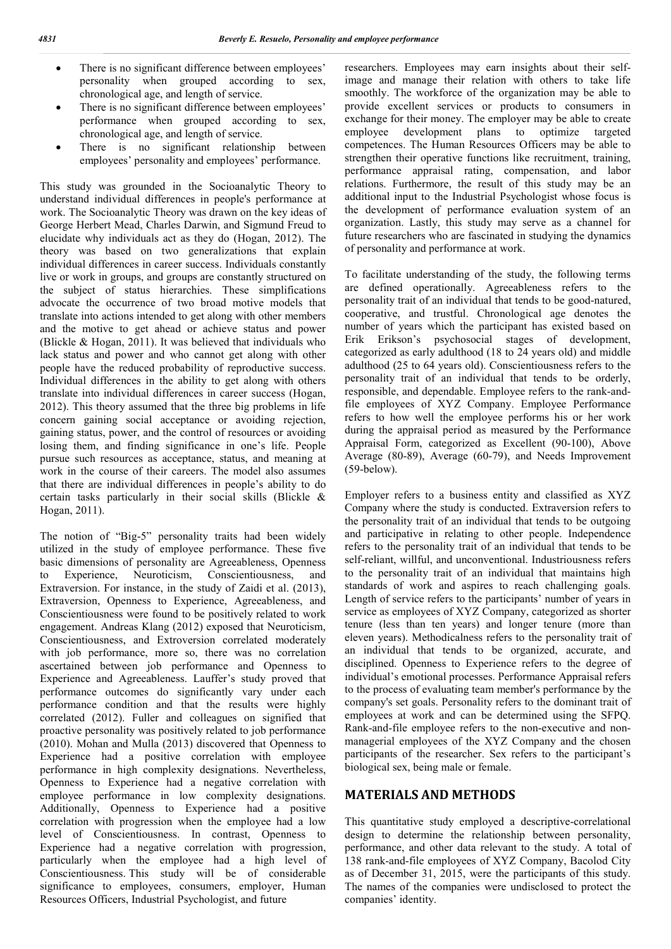- There is no significant difference between employees' personality when grouped according to sex, chronological age, and length of service.
- There is no significant difference between employees' performance when grouped according to sex, chronological age, and length of service.
- There is no significant relationship between employees' personality and employees' performance.

This study was grounded in the Socioanalytic Theory to understand individual differences in people's performance at work. The Socioanalytic Theory was drawn on the key ideas of George Herbert Mead, Charles Darwin, and Sigmund Freud to elucidate why individuals act as they do (Hogan, 2012). The theory was based on two generalizations that explain individual differences in career success. Individuals constantly live or work in groups, and groups are constantly structured on the subject of status hierarchies. These simplifications advocate the occurrence of two broad motive models that translate into actions intended to get along with other members and the motive to get ahead or achieve status and power (Blickle & Hogan, 2011). It was believed that individuals who lack status and power and who cannot get along with other people have the reduced probability of reproductive success. Individual differences in the ability to get along with others translate into individual differences in career success (Hogan, 2012). This theory assumed that the three big problems in life concern gaining social acceptance or avoiding rejection, gaining status, power, and the control of resources or avoiding losing them, and finding significance in one's life. People pursue such resources as acceptance, status, and meaning at work in the course of their careers. The model also assumes that there are individual differences in people's ability to do certain tasks particularly in their social skills (Blickle & Hogan, 2011).

The notion of "Big-5" personality traits had been widely utilized in the study of employee performance. These five basic dimensions of personality are Agreeableness, Openness to Experience, Neuroticism, Conscientiousness, and Extraversion. For instance, in the study of Zaidi et al. (2013), Extraversion, Openness to Experience, Agreeableness, and Conscientiousness were found to be positively related to work engagement. Andreas Klang (2012) exposed that Neuroticism, Conscientiousness, and Extroversion correlated moderately with job performance, more so, there was no correlation ascertained between job performance and Openness to Experience and Agreeableness. Lauffer's study proved that performance outcomes do significantly vary under each performance condition and that the results were highly correlated (2012). Fuller and colleagues on signified that proactive personality was positively related to job performance (2010). Mohan and Mulla (2013) discovered that Openness to Experience had a positive correlation with employee performance in high complexity designations. Nevertheless, Openness to Experience had a negative correlation with employee performance in low complexity designations. Additionally, Openness to Experience had a positive correlation with progression when the employee had a low level of Conscientiousness. In contrast, Openness to Experience had a negative correlation with progression, particularly when the employee had a high level of Conscientiousness. This study will be of considerable significance to employees, consumers, employer, Human Resources Officers, Industrial Psychologist, and future

researchers. Employees may earn insights about their selfimage and manage their relation with others to take life smoothly. The workforce of the organization may be able to provide excellent services or products to consumers in exchange for their money. The employer may be able to create employee development plans to optimize targeted competences. The Human Resources Officers may be able to strengthen their operative functions like recruitment, training, performance appraisal rating, compensation, and labor relations. Furthermore, the result of this study may be an additional input to the Industrial Psychologist whose focus is the development of performance evaluation system of an organization. Lastly, this study may serve as a channel for future researchers who are fascinated in studying the dynamics of personality and performance at work.

To facilitate understanding of the study, the following terms are defined operationally. Agreeableness refers to the personality trait of an individual that tends to be good-natured, cooperative, and trustful. Chronological age denotes the number of years which the participant has existed based on Erik Erikson's psychosocial stages of development, categorized as early adulthood (18 to 24 years old) and middle adulthood (25 to 64 years old). Conscientiousness refers to the personality trait of an individual that tends to be orderly, responsible, and dependable. Employee refers to the rank-andfile employees of XYZ Company. Employee Performance refers to how well the employee performs his or her work during the appraisal period as measured by the Performance Appraisal Form, categorized as Excellent (90-100), Above Average (80-89), Average (60-79), and Needs Improvement (59-below).

Employer refers to a business entity and classified as XYZ Company where the study is conducted. Extraversion refers to the personality trait of an individual that tends to be outgoing and participative in relating to other people. Independence refers to the personality trait of an individual that tends to be self-reliant, willful, and unconventional. Industriousness refers to the personality trait of an individual that maintains high standards of work and aspires to reach challenging goals. Length of service refers to the participants' number of years in service as employees of XYZ Company, categorized as shorter tenure (less than ten years) and longer tenure (more than eleven years). Methodicalness refers to the personality trait of an individual that tends to be organized, accurate, and disciplined. Openness to Experience refers to the degree of individual's emotional processes. Performance Appraisal refers to the process of evaluating team member's performance by the company's set goals. Personality refers to the dominant trait of employees at work and can be determined using the SFPQ. Rank-and-file employee refers to the non-executive and nonmanagerial employees of the XYZ Company and the chosen participants of the researcher. Sex refers to the participant's biological sex, being male or female.

## **MATERIALS AND METHODS**

This quantitative study employed a descriptive-correlational design to determine the relationship between personality, performance, and other data relevant to the study. A total of 138 rank-and-file employees of XYZ Company, Bacolod City as of December 31, 2015, were the participants of this study. The names of the companies were undisclosed to protect the companies' identity.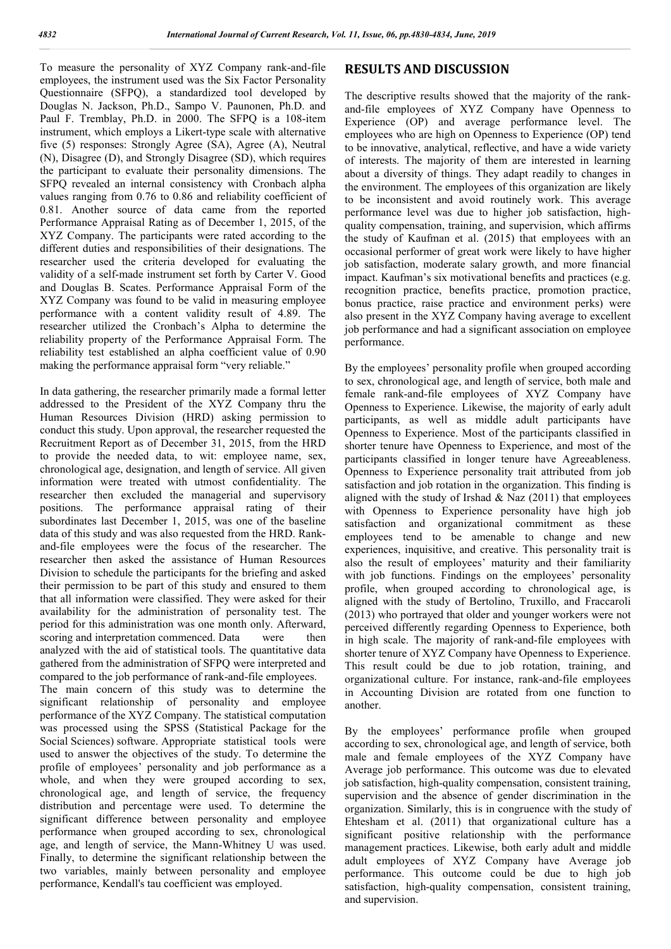To measure the personality of XYZ Company rank-and-file employees, the instrument used was the Six Factor Personality Questionnaire (SFPQ), a standardized tool developed by Douglas N. Jackson, Ph.D., Sampo V. Paunonen, Ph.D. and Paul F. Tremblay, Ph.D. in 2000. The SFPQ is a 108-item instrument, which employs a Likert-type scale with alternative five (5) responses: Strongly Agree (SA), Agree (A), Neutral (N), Disagree (D), and Strongly Disagree (SD), which requires the participant to evaluate their personality dimensions. The SFPQ revealed an internal consistency with Cronbach alpha values ranging from 0.76 to 0.86 and reliability coefficient of 0.81. Another source of data came from the reported Performance Appraisal Rating as of December 1, 2015, of the XYZ Company. The participants were rated according to the different duties and responsibilities of their designations. The researcher used the criteria developed for evaluating the validity of a self-made instrument set forth by Carter V. Good and Douglas B. Scates. Performance Appraisal Form of the XYZ Company was found to be valid in measuring employee performance with a content validity result of 4.89. The researcher utilized the Cronbach's Alpha to determine the reliability property of the Performance Appraisal Form. The reliability test established an alpha coefficient value of 0.90 making the performance appraisal form "very reliable."

In data gathering, the researcher primarily made a formal letter addressed to the President of the XYZ Company thru the Human Resources Division (HRD) asking permission to conduct this study. Upon approval, the researcher requested the Recruitment Report as of December 31, 2015, from the HRD to provide the needed data, to wit: employee name, sex, chronological age, designation, and length of service. All given information were treated with utmost confidentiality. The researcher then excluded the managerial and supervisory positions. The performance appraisal rating of their subordinates last December 1, 2015, was one of the baseline data of this study and was also requested from the HRD. Rankand-file employees were the focus of the researcher. The researcher then asked the assistance of Human Resources Division to schedule the participants for the briefing and asked their permission to be part of this study and ensured to them that all information were classified. They were asked for their availability for the administration of personality test. The period for this administration was one month only. Afterward, scoring and interpretation commenced. Data were then analyzed with the aid of statistical tools. The quantitative data gathered from the administration of SFPQ were interpreted and compared to the job performance of rank-and-file employees. The main concern of this study was to determine the significant relationship of personality and employee performance of the XYZ Company. The statistical computation was processed using the SPSS (Statistical Package for the Social Sciences) software. Appropriate statistical tools were used to answer the objectives of the study. To determine the profile of employees' personality and job performance as a

whole, and when they were grouped according to sex, chronological age, and length of service, the frequency distribution and percentage were used. To determine the significant difference between personality and employee performance when grouped according to sex, chronological age, and length of service, the Mann-Whitney U was used. Finally, to determine the significant relationship between the two variables, mainly between personality and employee performance, Kendall's tau coefficient was employed.

#### **RESULTS AND DISCUSSION**

The descriptive results showed that the majority of the rankand-file employees of XYZ Company have Openness to Experience (OP) and average performance level. The employees who are high on Openness to Experience (OP) tend to be innovative, analytical, reflective, and have a wide variety of interests. The majority of them are interested in learning about a diversity of things. They adapt readily to changes in the environment. The employees of this organization are likely to be inconsistent and avoid routinely work. This average performance level was due to higher job satisfaction, highquality compensation, training, and supervision, which affirms the study of Kaufman et al. (2015) that employees with an occasional performer of great work were likely to have higher job satisfaction, moderate salary growth, and more financial impact. Kaufman's six motivational benefits and practices (e.g. recognition practice, benefits practice, promotion practice, bonus practice, raise practice and environment perks) were also present in the XYZ Company having average to excellent job performance and had a significant association on employee performance.

By the employees' personality profile when grouped according to sex, chronological age, and length of service, both male and female rank-and-file employees of XYZ Company have Openness to Experience. Likewise, the majority of early adult participants, as well as middle adult participants have Openness to Experience. Most of the participants classified in shorter tenure have Openness to Experience, and most of the participants classified in longer tenure have Agreeableness. Openness to Experience personality trait attributed from job satisfaction and job rotation in the organization. This finding is aligned with the study of Irshad  $& \text{Naz}$  (2011) that employees with Openness to Experience personality have high job satisfaction and organizational commitment as these employees tend to be amenable to change and new experiences, inquisitive, and creative. This personality trait is also the result of employees' maturity and their familiarity with job functions. Findings on the employees' personality profile, when grouped according to chronological age, is aligned with the study of Bertolino, Truxillo, and Fraccaroli (2013) who portrayed that older and younger workers were not perceived differently regarding Openness to Experience, both in high scale. The majority of rank-and-file employees with shorter tenure of XYZ Company have Openness to Experience. This result could be due to job rotation, training, and organizational culture. For instance, rank-and-file employees in Accounting Division are rotated from one function to another.

By the employees' performance profile when grouped according to sex, chronological age, and length of service, both male and female employees of the XYZ Company have Average job performance. This outcome was due to elevated job satisfaction, high-quality compensation, consistent training, supervision and the absence of gender discrimination in the organization. Similarly, this is in congruence with the study of Ehtesham et al. (2011) that organizational culture has a significant positive relationship with the performance management practices. Likewise, both early adult and middle adult employees of XYZ Company have Average job performance. This outcome could be due to high job satisfaction, high-quality compensation, consistent training, and supervision.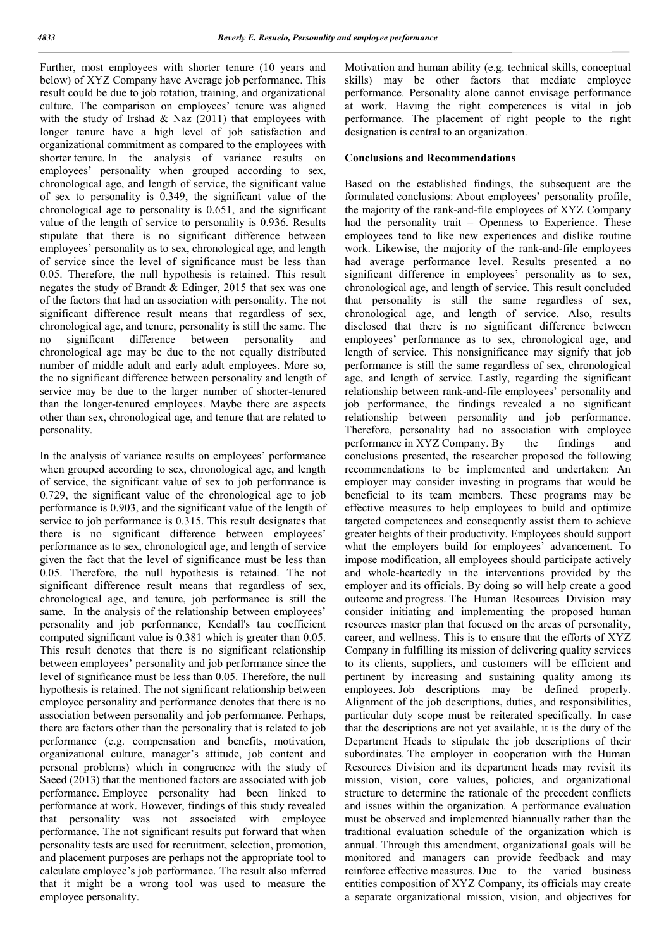Further, most employees with shorter tenure (10 years and below) of XYZ Company have Average job performance. This result could be due to job rotation, training, and organizational culture. The comparison on employees' tenure was aligned with the study of Irshad  $& \text{Naz}$  (2011) that employees with longer tenure have a high level of job satisfaction and organizational commitment as compared to the employees with shorter tenure. In the analysis of variance results on employees' personality when grouped according to sex, chronological age, and length of service, the significant value of sex to personality is 0.349, the significant value of the chronological age to personality is 0.651, and the significant value of the length of service to personality is 0.936. Results stipulate that there is no significant difference between employees' personality as to sex, chronological age, and length of service since the level of significance must be less than 0.05. Therefore, the null hypothesis is retained. This result negates the study of Brandt & Edinger, 2015 that sex was one of the factors that had an association with personality. The not significant difference result means that regardless of sex, chronological age, and tenure, personality is still the same. The no significant difference between personality and chronological age may be due to the not equally distributed number of middle adult and early adult employees. More so, the no significant difference between personality and length of service may be due to the larger number of shorter-tenured than the longer-tenured employees. Maybe there are aspects other than sex, chronological age, and tenure that are related to personality.

In the analysis of variance results on employees' performance when grouped according to sex, chronological age, and length of service, the significant value of sex to job performance is 0.729, the significant value of the chronological age to job performance is 0.903, and the significant value of the length of service to job performance is 0.315. This result designates that there is no significant difference between employees' performance as to sex, chronological age, and length of service given the fact that the level of significance must be less than 0.05. Therefore, the null hypothesis is retained. The not significant difference result means that regardless of sex, chronological age, and tenure, job performance is still the same. In the analysis of the relationship between employees' personality and job performance, Kendall's tau coefficient computed significant value is 0.381 which is greater than 0.05. This result denotes that there is no significant relationship between employees' personality and job performance since the level of significance must be less than 0.05. Therefore, the null hypothesis is retained. The not significant relationship between employee personality and performance denotes that there is no association between personality and job performance. Perhaps, there are factors other than the personality that is related to job performance (e.g. compensation and benefits, motivation, organizational culture, manager's attitude, job content and personal problems) which in congruence with the study of Saeed (2013) that the mentioned factors are associated with job performance. Employee personality had been linked to performance at work. However, findings of this study revealed that personality was not associated with employee performance. The not significant results put forward that when personality tests are used for recruitment, selection, promotion, and placement purposes are perhaps not the appropriate tool to calculate employee's job performance. The result also inferred that it might be a wrong tool was used to measure the employee personality.

Motivation and human ability (e.g. technical skills, conceptual skills) may be other factors that mediate employee performance. Personality alone cannot envisage performance at work. Having the right competences is vital in job performance. The placement of right people to the right designation is central to an organization.

#### **Conclusions and Recommendations**

Based on the established findings, the subsequent are the formulated conclusions: About employees' personality profile, the majority of the rank-and-file employees of XYZ Company had the personality trait – Openness to Experience. These employees tend to like new experiences and dislike routine work. Likewise, the majority of the rank-and-file employees had average performance level. Results presented a no significant difference in employees' personality as to sex, chronological age, and length of service. This result concluded that personality is still the same regardless of sex, chronological age, and length of service. Also, results disclosed that there is no significant difference between employees' performance as to sex, chronological age, and length of service. This nonsignificance may signify that job performance is still the same regardless of sex, chronological age, and length of service. Lastly, regarding the significant relationship between rank-and-file employees' personality and job performance, the findings revealed a no significant relationship between personality and job performance. Therefore, personality had no association with employee performance in XYZ Company. By the findings and conclusions presented, the researcher proposed the following recommendations to be implemented and undertaken: An employer may consider investing in programs that would be beneficial to its team members. These programs may be effective measures to help employees to build and optimize targeted competences and consequently assist them to achieve greater heights of their productivity. Employees should support what the employers build for employees' advancement. To impose modification, all employees should participate actively and whole-heartedly in the interventions provided by the employer and its officials. By doing so will help create a good outcome and progress. The Human Resources Division may consider initiating and implementing the proposed human resources master plan that focused on the areas of personality, career, and wellness. This is to ensure that the efforts of XYZ Company in fulfilling its mission of delivering quality services to its clients, suppliers, and customers will be efficient and pertinent by increasing and sustaining quality among its employees. Job descriptions may be defined properly. Alignment of the job descriptions, duties, and responsibilities, particular duty scope must be reiterated specifically. In case that the descriptions are not yet available, it is the duty of the Department Heads to stipulate the job descriptions of their subordinates. The employer in cooperation with the Human Resources Division and its department heads may revisit its mission, vision, core values, policies, and organizational structure to determine the rationale of the precedent conflicts and issues within the organization. A performance evaluation must be observed and implemented biannually rather than the traditional evaluation schedule of the organization which is annual. Through this amendment, organizational goals will be monitored and managers can provide feedback and may reinforce effective measures. Due to the varied business entities composition of XYZ Company, its officials may create a separate organizational mission, vision, and objectives for